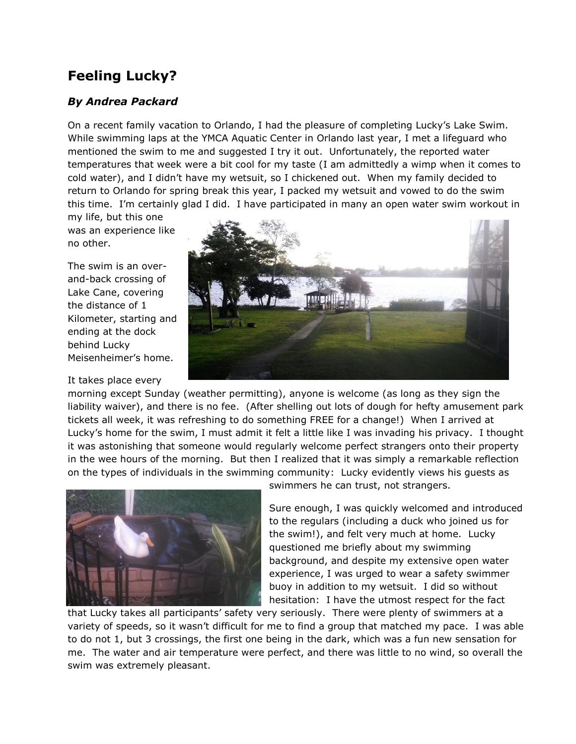## **Feeling Lucky?**

## *By Andrea Packard*

On a recent family vacation to Orlando, I had the pleasure of completing Lucky's Lake Swim. While swimming laps at the YMCA Aquatic Center in Orlando last year, I met a lifeguard who mentioned the swim to me and suggested I try it out. Unfortunately, the reported water temperatures that week were a bit cool for my taste (I am admittedly a wimp when it comes to cold water), and I didn't have my wetsuit, so I chickened out. When my family decided to return to Orlando for spring break this year, I packed my wetsuit and vowed to do the swim this time. I'm certainly glad I did. I have participated in many an open water swim workout in

my life, but this one was an experience like no other.

The swim is an overand-back crossing of Lake Cane, covering the distance of 1 Kilometer, starting and ending at the dock behind Lucky Meisenheimer's home.

## It takes place every



morning except Sunday (weather permitting), anyone is welcome (as long as they sign the liability waiver), and there is no fee. (After shelling out lots of dough for hefty amusement park tickets all week, it was refreshing to do something FREE for a change!) When I arrived at Lucky's home for the swim, I must admit it felt a little like I was invading his privacy. I thought it was astonishing that someone would regularly welcome perfect strangers onto their property in the wee hours of the morning. But then I realized that it was simply a remarkable reflection on the types of individuals in the swimming community: Lucky evidently views his guests as



swimmers he can trust, not strangers.

Sure enough, I was quickly welcomed and introduced to the regulars (including a duck who joined us for the swim!), and felt very much at home. Lucky questioned me briefly about my swimming background, and despite my extensive open water experience, I was urged to wear a safety swimmer buoy in addition to my wetsuit. I did so without hesitation: I have the utmost respect for the fact

that Lucky takes all participants' safety very seriously. There were plenty of swimmers at a variety of speeds, so it wasn't difficult for me to find a group that matched my pace. I was able to do not 1, but 3 crossings, the first one being in the dark, which was a fun new sensation for me. The water and air temperature were perfect, and there was little to no wind, so overall the swim was extremely pleasant.